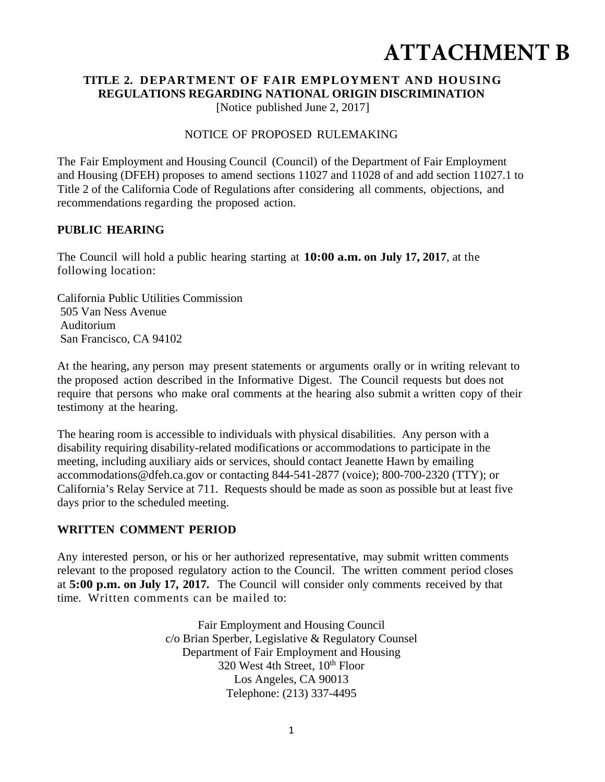# **ATTACHMENT B**

# **TITLE 2. DEPARTMENT OF FAIR EMPLOYMENT AND HOUSING REGULATIONS REGARDING NATIONAL ORIGIN DISCRIMINATION**

[Notice published June 2, 2017]

#### NOTICE OF PROPOSED RULEMAKING

The Fair Employment and Housing Council (Council) of the Department of Fair Employment and Housing (DFEH) proposes to amend sections 11027 and 11028 of and add section 11027.1 to Title 2 of the California Code of Regulations after considering all comments, objections, and recommendations regarding the proposed action.

#### **PUBLIC HEARING**

The Council will hold a public hearing starting at **10:00 a.m. on July 17, 2017**, at the following location:

California Public Utilities Commission 505 Van Ness Avenue Auditorium San Francisco, CA 94102

At the hearing, any person may present statements or arguments orally or in writing relevant to the proposed action described in the Informative Digest. The Council requests but does not require that persons who make oral comments at the hearing also submit a written copy of their testimony at the hearing.

The hearing room is accessible to individuals with physical disabilities. Any person with a disability requiring disability-related modifications or accommodations to participate in the meeting, including auxiliary aids or services, should contact Jeanette Hawn by emailing accommodations@dfeh.ca.gov or contacting 844-541-2877 (voice); 800-700-2320 (TTY); or California's Relay Service at 711. Requests should be made as soon as possible but at least five days prior to the scheduled meeting.

# **WRITTEN COMMENT PERIOD**

Any interested person, or his or her authorized representative, may submit written comments relevant to the proposed regulatory action to the Council. The written comment period closes at **5:00 p.m. on July 17, 2017.** The Council will consider only comments received by that time. Written comments can be mailed to:

> Fair Employment and Housing Council c/o Brian Sperber, Legislative & Regulatory Counsel Department of Fair Employment and Housing 320 West 4th Street,  $10^{th}$  Floor Los Angeles, CA 90013 Telephone: (213) 337-4495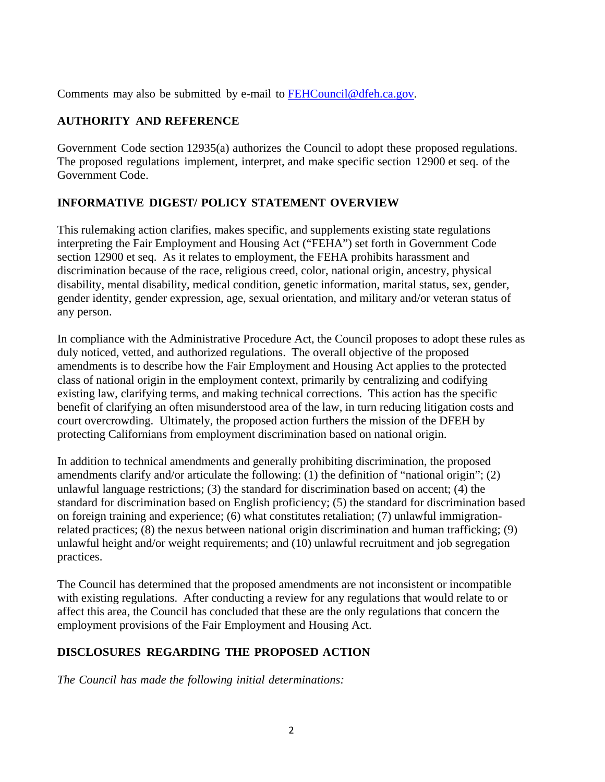Comments may also be submitted by e-mail to FEHCouncil@dfeh.ca.gov.

# **AUTHORITY AND REFERENCE**

Government Code section 12935(a) authorizes the Council to adopt these proposed regulations. The proposed regulations implement, interpret, and make specific section 12900 et seq. of the Government Code.

# **INFORMATIVE DIGEST/ POLICY STATEMENT OVERVIEW**

This rulemaking action clarifies, makes specific, and supplements existing state regulations interpreting the Fair Employment and Housing Act ("FEHA") set forth in Government Code section 12900 et seq. As it relates to employment, the FEHA prohibits harassment and discrimination because of the race, religious creed, color, national origin, ancestry, physical disability, mental disability, medical condition, genetic information, marital status, sex, gender, gender identity, gender expression, age, sexual orientation, and military and/or veteran status of any person.

In compliance with the Administrative Procedure Act, the Council proposes to adopt these rules as duly noticed, vetted, and authorized regulations. The overall objective of the proposed amendments is to describe how the Fair Employment and Housing Act applies to the protected class of national origin in the employment context, primarily by centralizing and codifying existing law, clarifying terms, and making technical corrections. This action has the specific benefit of clarifying an often misunderstood area of the law, in turn reducing litigation costs and court overcrowding. Ultimately, the proposed action furthers the mission of the DFEH by protecting Californians from employment discrimination based on national origin.

In addition to technical amendments and generally prohibiting discrimination, the proposed amendments clarify and/or articulate the following: (1) the definition of "national origin"; (2) unlawful language restrictions; (3) the standard for discrimination based on accent; (4) the standard for discrimination based on English proficiency; (5) the standard for discrimination based on foreign training and experience; (6) what constitutes retaliation; (7) unlawful immigrationrelated practices; (8) the nexus between national origin discrimination and human trafficking; (9) unlawful height and/or weight requirements; and (10) unlawful recruitment and job segregation practices.

The Council has determined that the proposed amendments are not inconsistent or incompatible with existing regulations. After conducting a review for any regulations that would relate to or affect this area, the Council has concluded that these are the only regulations that concern the employment provisions of the Fair Employment and Housing Act.

# **DISCLOSURES REGARDING THE PROPOSED ACTION**

*The Council has made the following initial determinations:*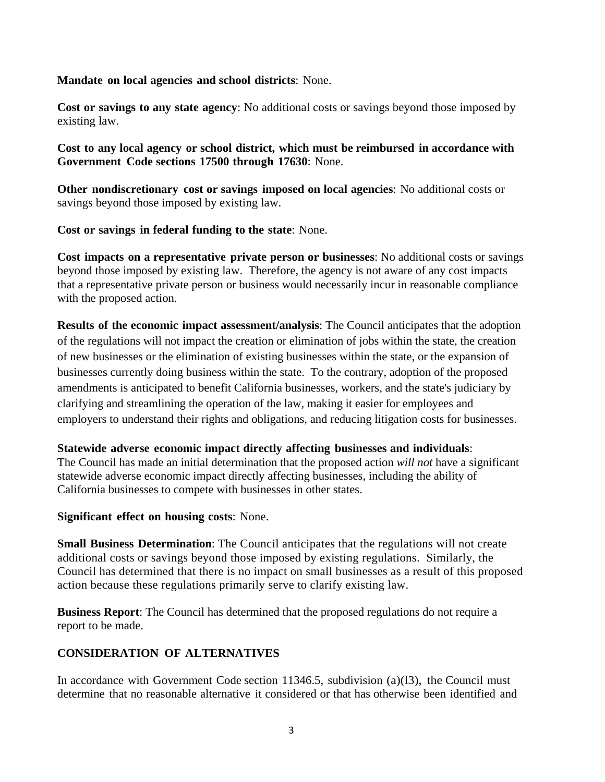**Mandate on local agencies and school districts**: None.

**Cost or savings to any state agency**: No additional costs or savings beyond those imposed by existing law.

**Cost to any local agency or school district, which must be reimbursed in accordance with Government Code sections 17500 through 17630**: None.

**Other nondiscretionary cost or savings imposed on local agencies**: No additional costs or savings beyond those imposed by existing law.

**Cost or savings in federal funding to the state**: None.

**Cost impacts on a representative private person or businesses**: No additional costs or savings beyond those imposed by existing law. Therefore, the agency is not aware of any cost impacts that a representative private person or business would necessarily incur in reasonable compliance with the proposed action.

**Results of the economic impact assessment/analysis**: The Council anticipates that the adoption of the regulations will not impact the creation or elimination of jobs within the state, the creation of new businesses or the elimination of existing businesses within the state, or the expansion of businesses currently doing business within the state. To the contrary, adoption of the proposed amendments is anticipated to benefit California businesses, workers, and the state's judiciary by clarifying and streamlining the operation of the law, making it easier for employees and employers to understand their rights and obligations, and reducing litigation costs for businesses.

#### **Statewide adverse economic impact directly affecting businesses and individuals**:

The Council has made an initial determination that the proposed action *will not* have a significant statewide adverse economic impact directly affecting businesses, including the ability of California businesses to compete with businesses in other states.

#### **Significant effect on housing costs**: None.

**Small Business Determination**: The Council anticipates that the regulations will not create additional costs or savings beyond those imposed by existing regulations. Similarly, the Council has determined that there is no impact on small businesses as a result of this proposed action because these regulations primarily serve to clarify existing law.

**Business Report**: The Council has determined that the proposed regulations do not require a report to be made.

#### **CONSIDERATION OF ALTERNATIVES**

In accordance with Government Code section 11346.5, subdivision (a)(l3), the Council must determine that no reasonable alternative it considered or that has otherwise been identified and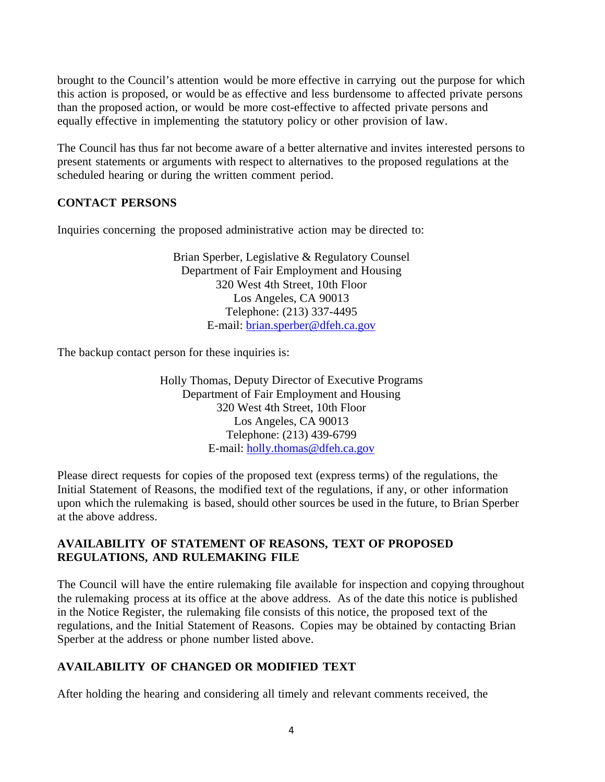brought to the Council's attention would be more effective in carrying out the purpose for which this action is proposed, or would be as effective and less burdensome to affected private persons than the proposed action, or would be more cost-effective to affected private persons and equally effective in implementing the statutory policy or other provision of law.

The Council has thus far not become aware of a better alternative and invites interested persons to present statements or arguments with respect to alternatives to the proposed regulations at the scheduled hearing or during the written comment period.

#### **CONTACT PERSONS**

Inquiries concerning the proposed administrative action may be directed to:

Brian Sperber, Legislative & Regulatory Counsel Department of Fair Employment and Housing 320 West 4th Street, 10th Floor Los Angeles, CA 90013 Telephone: (213) 337-4495 E-mail: brian.sperber@dfeh.ca.gov

The backup contact person for these inquiries is:

Holly Thomas, Deputy Director of Executive Programs Department of Fair Employment and Housing 320 West 4th Street, 10th Floor Los Angeles, CA 90013 Telephone: (213) 439-6799 E-mail: holly.thomas@dfeh.ca.gov

Please direct requests for copies of the proposed text (express terms) of the regulations, the Initial Statement of Reasons, the modified text of the regulations, if any, or other information upon which the rulemaking is based, should other sources be used in the future, to Brian Sperber at the above address.

#### **AVAILABILITY OF STATEMENT OF REASONS, TEXT OF PROPOSED REGULATIONS, AND RULEMAKING FILE**

The Council will have the entire rulemaking file available for inspection and copying throughout the rulemaking process at its office at the above address. As of the date this notice is published in the Notice Register, the rulemaking file consists of this notice, the proposed text of the regulations, and the Initial Statement of Reasons. Copies may be obtained by contacting Brian Sperber at the address or phone number listed above.

### **AVAILABILITY OF CHANGED OR MODIFIED TEXT**

After holding the hearing and considering all timely and relevant comments received, the